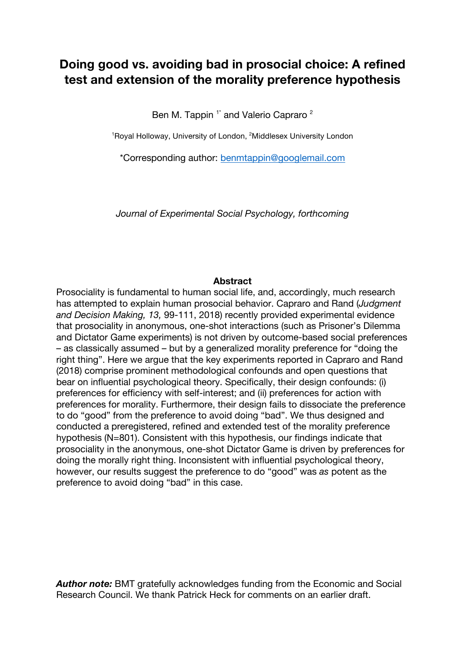# **Doing good vs. avoiding bad in prosocial choice: A refined test and extension of the morality preference hypothesis**

Ben M. Tappin<sup>1\*</sup> and Valerio Capraro<sup>2</sup>

<sup>1</sup>Royal Holloway, University of London, <sup>2</sup>Middlesex University London

\*Corresponding author: benmtappin@googlemail.com

*Journal of Experimental Social Psychology, forthcoming*

### **Abstract**

Prosociality is fundamental to human social life, and, accordingly, much research has attempted to explain human prosocial behavior. Capraro and Rand (*Judgment and Decision Making, 13,* 99-111, 2018) recently provided experimental evidence that prosociality in anonymous, one-shot interactions (such as Prisoner's Dilemma and Dictator Game experiments) is not driven by outcome-based social preferences – as classically assumed – but by a generalized morality preference for "doing the right thing". Here we argue that the key experiments reported in Capraro and Rand (2018) comprise prominent methodological confounds and open questions that bear on influential psychological theory. Specifically, their design confounds: (i) preferences for efficiency with self-interest; and (ii) preferences for action with preferences for morality. Furthermore, their design fails to dissociate the preference to do "good" from the preference to avoid doing "bad". We thus designed and conducted a preregistered, refined and extended test of the morality preference hypothesis (N=801). Consistent with this hypothesis, our findings indicate that prosociality in the anonymous, one-shot Dictator Game is driven by preferences for doing the morally right thing. Inconsistent with influential psychological theory, however, our results suggest the preference to do "good" was *as* potent as the preference to avoid doing "bad" in this case.

*Author note:* BMT gratefully acknowledges funding from the Economic and Social Research Council. We thank Patrick Heck for comments on an earlier draft.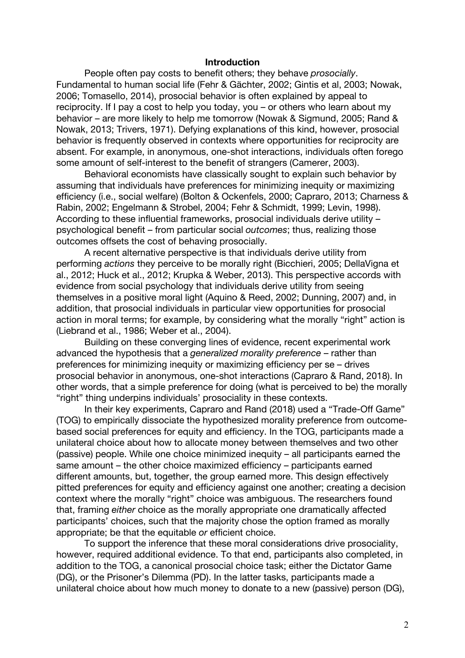#### **Introduction**

People often pay costs to benefit others; they behave *prosocially*. Fundamental to human social life (Fehr & Gächter, 2002; Gintis et al, 2003; Nowak, 2006; Tomasello, 2014), prosocial behavior is often explained by appeal to reciprocity. If I pay a cost to help you today, you – or others who learn about my behavior – are more likely to help me tomorrow (Nowak & Sigmund, 2005; Rand & Nowak, 2013; Trivers, 1971). Defying explanations of this kind, however, prosocial behavior is frequently observed in contexts where opportunities for reciprocity are absent. For example, in anonymous, one-shot interactions, individuals often forego some amount of self-interest to the benefit of strangers (Camerer, 2003).

Behavioral economists have classically sought to explain such behavior by assuming that individuals have preferences for minimizing inequity or maximizing efficiency (i.e., social welfare) (Bolton & Ockenfels, 2000; Capraro, 2013; Charness & Rabin, 2002; Engelmann & Strobel, 2004; Fehr & Schmidt, 1999; Levin, 1998). According to these influential frameworks, prosocial individuals derive utility – psychological benefit – from particular social *outcomes*; thus, realizing those outcomes offsets the cost of behaving prosocially.

A recent alternative perspective is that individuals derive utility from performing *actions* they perceive to be morally right (Bicchieri, 2005; DellaVigna et al., 2012; Huck et al., 2012; Krupka & Weber, 2013). This perspective accords with evidence from social psychology that individuals derive utility from seeing themselves in a positive moral light (Aquino & Reed, 2002; Dunning, 2007) and, in addition, that prosocial individuals in particular view opportunities for prosocial action in moral terms; for example, by considering what the morally "right" action is (Liebrand et al., 1986; Weber et al., 2004).

Building on these converging lines of evidence, recent experimental work advanced the hypothesis that a *generalized morality preference* – rather than preferences for minimizing inequity or maximizing efficiency per se – drives prosocial behavior in anonymous, one-shot interactions (Capraro & Rand, 2018). In other words, that a simple preference for doing (what is perceived to be) the morally "right" thing underpins individuals' prosociality in these contexts.

In their key experiments, Capraro and Rand (2018) used a "Trade-Off Game" (TOG) to empirically dissociate the hypothesized morality preference from outcomebased social preferences for equity and efficiency. In the TOG, participants made a unilateral choice about how to allocate money between themselves and two other (passive) people. While one choice minimized inequity – all participants earned the same amount – the other choice maximized efficiency – participants earned different amounts, but, together, the group earned more. This design effectively pitted preferences for equity and efficiency against one another; creating a decision context where the morally "right" choice was ambiguous. The researchers found that, framing *either* choice as the morally appropriate one dramatically affected participants' choices, such that the majority chose the option framed as morally appropriate; be that the equitable *or* efficient choice.

To support the inference that these moral considerations drive prosociality, however, required additional evidence. To that end, participants also completed, in addition to the TOG, a canonical prosocial choice task; either the Dictator Game (DG), or the Prisoner's Dilemma (PD). In the latter tasks, participants made a unilateral choice about how much money to donate to a new (passive) person (DG),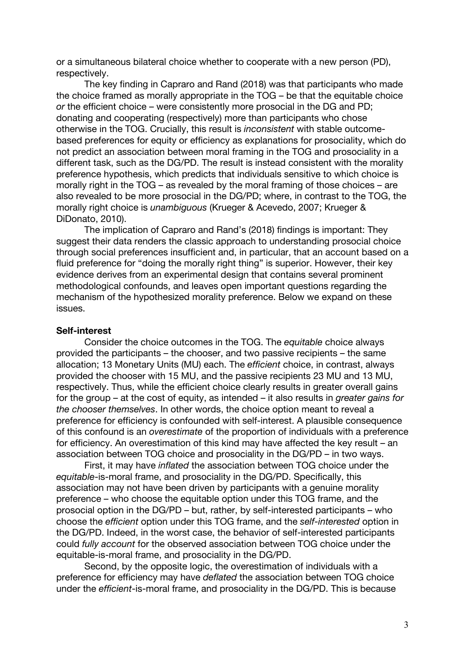or a simultaneous bilateral choice whether to cooperate with a new person (PD), respectively.

The key finding in Capraro and Rand (2018) was that participants who made the choice framed as morally appropriate in the TOG – be that the equitable choice *or* the efficient choice – were consistently more prosocial in the DG and PD; donating and cooperating (respectively) more than participants who chose otherwise in the TOG. Crucially, this result is *inconsistent* with stable outcomebased preferences for equity or efficiency as explanations for prosociality, which do not predict an association between moral framing in the TOG and prosociality in a different task, such as the DG/PD. The result is instead consistent with the morality preference hypothesis, which predicts that individuals sensitive to which choice is morally right in the TOG – as revealed by the moral framing of those choices – are also revealed to be more prosocial in the DG/PD; where, in contrast to the TOG, the morally right choice is *unambiguous* (Krueger & Acevedo, 2007; Krueger & DiDonato, 2010).

The implication of Capraro and Rand's (2018) findings is important: They suggest their data renders the classic approach to understanding prosocial choice through social preferences insufficient and, in particular, that an account based on a fluid preference for "doing the morally right thing" is superior. However, their key evidence derives from an experimental design that contains several prominent methodological confounds, and leaves open important questions regarding the mechanism of the hypothesized morality preference. Below we expand on these issues.

#### **Self-interest**

Consider the choice outcomes in the TOG. The *equitable* choice always provided the participants – the chooser, and two passive recipients – the same allocation; 13 Monetary Units (MU) each. The *efficient* choice, in contrast, always provided the chooser with 15 MU, and the passive recipients 23 MU and 13 MU, respectively. Thus, while the efficient choice clearly results in greater overall gains for the group – at the cost of equity, as intended – it also results in *greater gains for the chooser themselves*. In other words, the choice option meant to reveal a preference for efficiency is confounded with self-interest. A plausible consequence of this confound is an *overestimate* of the proportion of individuals with a preference for efficiency. An overestimation of this kind may have affected the key result – an association between TOG choice and prosociality in the DG/PD – in two ways.

First, it may have *inflated* the association between TOG choice under the *equitable*-is-moral frame, and prosociality in the DG/PD. Specifically, this association may not have been driven by participants with a genuine morality preference – who choose the equitable option under this TOG frame, and the prosocial option in the DG/PD – but, rather, by self-interested participants – who choose the *efficient* option under this TOG frame, and the *self-interested* option in the DG/PD. Indeed, in the worst case, the behavior of self-interested participants could *fully account* for the observed association between TOG choice under the equitable-is-moral frame, and prosociality in the DG/PD.

Second, by the opposite logic, the overestimation of individuals with a preference for efficiency may have *deflated* the association between TOG choice under the *efficient*-is-moral frame, and prosociality in the DG/PD. This is because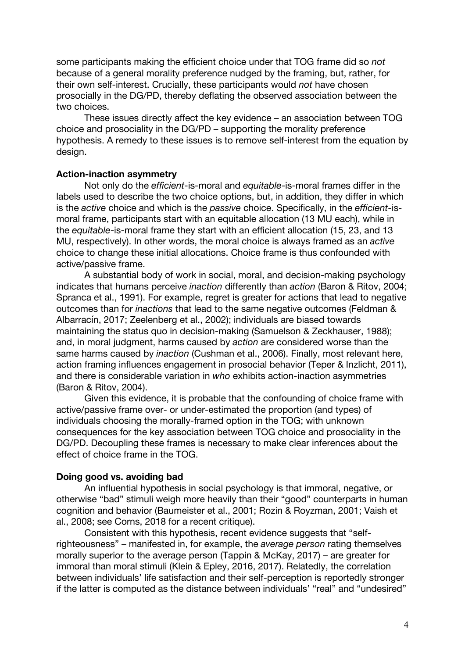some participants making the efficient choice under that TOG frame did so *not* because of a general morality preference nudged by the framing, but, rather, for their own self-interest. Crucially, these participants would *not* have chosen prosocially in the DG/PD, thereby deflating the observed association between the two choices.

These issues directly affect the key evidence – an association between TOG choice and prosociality in the DG/PD – supporting the morality preference hypothesis. A remedy to these issues is to remove self-interest from the equation by design.

#### **Action-inaction asymmetry**

Not only do the *efficient*-is-moral and *equitable*-is-moral frames differ in the labels used to describe the two choice options, but, in addition, they differ in which is the *active* choice and which is the *passive* choice. Specifically, in the *efficient*-ismoral frame, participants start with an equitable allocation (13 MU each), while in the *equitable*-is-moral frame they start with an efficient allocation (15, 23, and 13 MU, respectively). In other words, the moral choice is always framed as an *active* choice to change these initial allocations. Choice frame is thus confounded with active/passive frame.

A substantial body of work in social, moral, and decision-making psychology indicates that humans perceive *inaction* differently than *action* (Baron & Ritov, 2004; Spranca et al., 1991). For example, regret is greater for actions that lead to negative outcomes than for *inactions* that lead to the same negative outcomes (Feldman & Albarracín, 2017; Zeelenberg et al., 2002); individuals are biased towards maintaining the status quo in decision-making (Samuelson & Zeckhauser, 1988); and, in moral judgment, harms caused by *action* are considered worse than the same harms caused by *inaction* (Cushman et al., 2006). Finally, most relevant here, action framing influences engagement in prosocial behavior (Teper & Inzlicht, 2011), and there is considerable variation in *who* exhibits action-inaction asymmetries (Baron & Ritov, 2004).

Given this evidence, it is probable that the confounding of choice frame with active/passive frame over- or under-estimated the proportion (and types) of individuals choosing the morally-framed option in the TOG; with unknown consequences for the key association between TOG choice and prosociality in the DG/PD. Decoupling these frames is necessary to make clear inferences about the effect of choice frame in the TOG.

### **Doing good vs. avoiding bad**

An influential hypothesis in social psychology is that immoral, negative, or otherwise "bad" stimuli weigh more heavily than their "good" counterparts in human cognition and behavior (Baumeister et al., 2001; Rozin & Royzman, 2001; Vaish et al., 2008; see Corns, 2018 for a recent critique).

Consistent with this hypothesis, recent evidence suggests that "selfrighteousness" – manifested in, for example, the *average person* rating themselves morally superior to the average person (Tappin & McKay, 2017) – are greater for immoral than moral stimuli (Klein & Epley, 2016, 2017). Relatedly, the correlation between individuals' life satisfaction and their self-perception is reportedly stronger if the latter is computed as the distance between individuals' "real" and "undesired"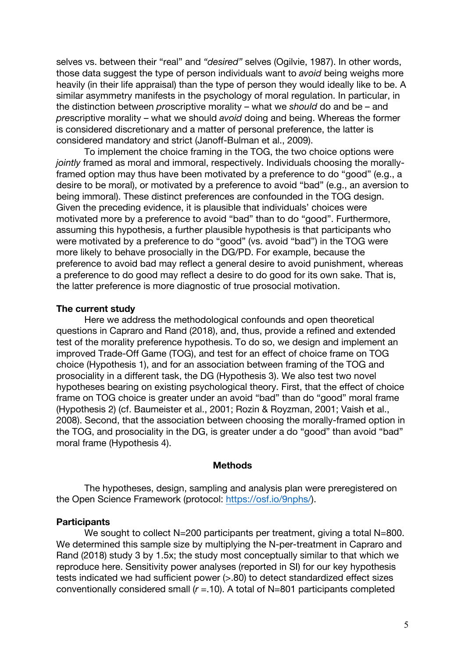selves vs. between their "real" and *"desired"* selves (Ogilvie, 1987). In other words, those data suggest the type of person individuals want to *avoid* being weighs more heavily (in their life appraisal) than the type of person they would ideally like to be. A similar asymmetry manifests in the psychology of moral regulation. In particular, in the distinction between *pro*scriptive morality – what we *should* do and be – and *pre*scriptive morality – what we should *avoid* doing and being. Whereas the former is considered discretionary and a matter of personal preference, the latter is considered mandatory and strict (Janoff-Bulman et al., 2009).

To implement the choice framing in the TOG, the two choice options were *jointly* framed as moral and immoral, respectively. Individuals choosing the morallyframed option may thus have been motivated by a preference to do "good" (e.g., a desire to be moral), or motivated by a preference to avoid "bad" (e.g., an aversion to being immoral). These distinct preferences are confounded in the TOG design. Given the preceding evidence, it is plausible that individuals' choices were motivated more by a preference to avoid "bad" than to do "good". Furthermore, assuming this hypothesis, a further plausible hypothesis is that participants who were motivated by a preference to do "good" (vs. avoid "bad") in the TOG were more likely to behave prosocially in the DG/PD. For example, because the preference to avoid bad may reflect a general desire to avoid punishment, whereas a preference to do good may reflect a desire to do good for its own sake. That is, the latter preference is more diagnostic of true prosocial motivation.

#### **The current study**

Here we address the methodological confounds and open theoretical questions in Capraro and Rand (2018), and, thus, provide a refined and extended test of the morality preference hypothesis. To do so, we design and implement an improved Trade-Off Game (TOG), and test for an effect of choice frame on TOG choice (Hypothesis 1), and for an association between framing of the TOG and prosociality in a different task, the DG (Hypothesis 3). We also test two novel hypotheses bearing on existing psychological theory. First, that the effect of choice frame on TOG choice is greater under an avoid "bad" than do "good" moral frame (Hypothesis 2) (cf. Baumeister et al., 2001; Rozin & Royzman, 2001; Vaish et al., 2008). Second, that the association between choosing the morally-framed option in the TOG, and prosociality in the DG, is greater under a do "good" than avoid "bad" moral frame (Hypothesis 4).

### **Methods**

The hypotheses, design, sampling and analysis plan were preregistered on the Open Science Framework (protocol: https://osf.io/9nphs/).

#### **Participants**

We sought to collect N=200 participants per treatment, giving a total N=800. We determined this sample size by multiplying the N-per-treatment in Capraro and Rand (2018) study 3 by 1.5x; the study most conceptually similar to that which we reproduce here. Sensitivity power analyses (reported in SI) for our key hypothesis tests indicated we had sufficient power (>.80) to detect standardized effect sizes conventionally considered small (*r* =.10). A total of N=801 participants completed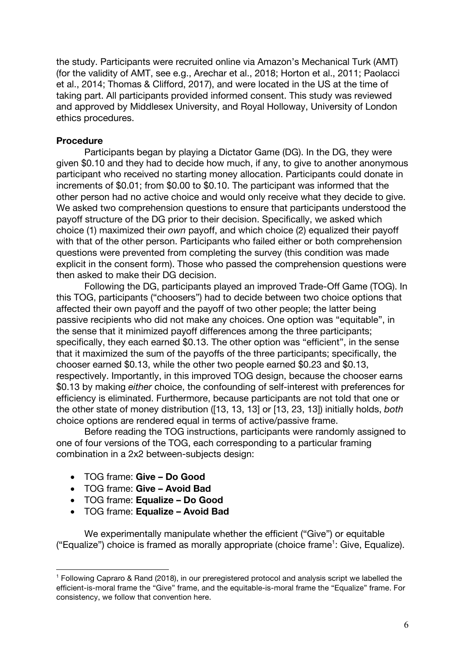the study. Participants were recruited online via Amazon's Mechanical Turk (AMT) (for the validity of AMT, see e.g., Arechar et al., 2018; Horton et al., 2011; Paolacci et al., 2014; Thomas & Clifford, 2017), and were located in the US at the time of taking part. All participants provided informed consent. This study was reviewed and approved by Middlesex University, and Royal Holloway, University of London ethics procedures.

### **Procedure**

Participants began by playing a Dictator Game (DG). In the DG, they were given \$0.10 and they had to decide how much, if any, to give to another anonymous participant who received no starting money allocation. Participants could donate in increments of \$0.01; from \$0.00 to \$0.10. The participant was informed that the other person had no active choice and would only receive what they decide to give. We asked two comprehension questions to ensure that participants understood the payoff structure of the DG prior to their decision. Specifically, we asked which choice (1) maximized their *own* payoff, and which choice (2) equalized their payoff with that of the other person. Participants who failed either or both comprehension questions were prevented from completing the survey (this condition was made explicit in the consent form). Those who passed the comprehension questions were then asked to make their DG decision.

Following the DG, participants played an improved Trade-Off Game (TOG). In this TOG, participants ("choosers") had to decide between two choice options that affected their own payoff and the payoff of two other people; the latter being passive recipients who did not make any choices. One option was "equitable", in the sense that it minimized payoff differences among the three participants; specifically, they each earned \$0.13. The other option was "efficient", in the sense that it maximized the sum of the payoffs of the three participants; specifically, the chooser earned \$0.13, while the other two people earned \$0.23 and \$0.13, respectively. Importantly, in this improved TOG design, because the chooser earns \$0.13 by making *either* choice, the confounding of self-interest with preferences for efficiency is eliminated. Furthermore, because participants are not told that one or the other state of money distribution ([13, 13, 13] or [13, 23, 13]) initially holds, *both* choice options are rendered equal in terms of active/passive frame.

Before reading the TOG instructions, participants were randomly assigned to one of four versions of the TOG, each corresponding to a particular framing combination in a 2x2 between-subjects design:

• TOG frame: **Give – Do Good**

 $\overline{a}$ 

- TOG frame: **Give – Avoid Bad**
- TOG frame: **Equalize – Do Good**
- TOG frame: **Equalize – Avoid Bad**

We experimentally manipulate whether the efficient ("Give") or equitable ("Equalize") choice is framed as morally appropriate (choice frame $^1$ : Give, Equalize).

<sup>1</sup> Following Capraro & Rand (2018), in our preregistered protocol and analysis script we labelled the efficient-is-moral frame the "Give" frame, and the equitable-is-moral frame the "Equalize" frame. For consistency, we follow that convention here.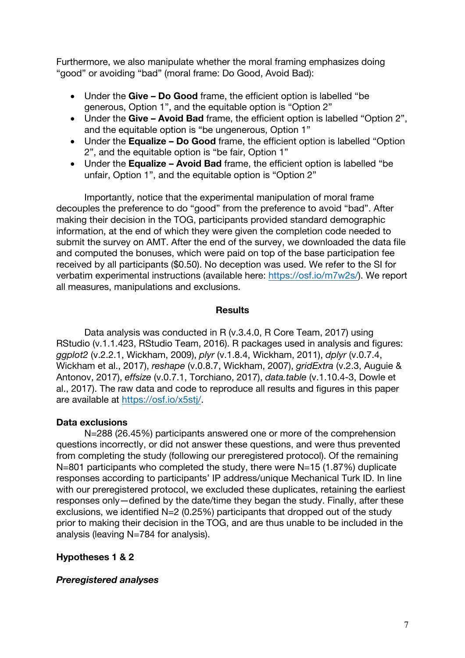Furthermore, we also manipulate whether the moral framing emphasizes doing "good" or avoiding "bad" (moral frame: Do Good, Avoid Bad):

- Under the **Give – Do Good** frame, the efficient option is labelled "be generous, Option 1", and the equitable option is "Option 2"
- Under the **Give – Avoid Bad** frame, the efficient option is labelled "Option 2", and the equitable option is "be ungenerous, Option 1"
- Under the **Equalize – Do Good** frame, the efficient option is labelled "Option 2", and the equitable option is "be fair, Option 1"
- Under the **Equalize – Avoid Bad** frame, the efficient option is labelled "be unfair, Option 1", and the equitable option is "Option 2"

Importantly, notice that the experimental manipulation of moral frame decouples the preference to do "good" from the preference to avoid "bad". After making their decision in the TOG, participants provided standard demographic information, at the end of which they were given the completion code needed to submit the survey on AMT. After the end of the survey, we downloaded the data file and computed the bonuses, which were paid on top of the base participation fee received by all participants (\$0.50). No deception was used. We refer to the SI for verbatim experimental instructions (available here: https://osf.io/m7w2s/). We report all measures, manipulations and exclusions.

# **Results**

Data analysis was conducted in R (v.3.4.0, R Core Team, 2017) using RStudio (v.1.1.423, RStudio Team, 2016). R packages used in analysis and figures: *ggplot2* (v.2.2.1, Wickham, 2009), *plyr* (v.1.8.4, Wickham, 2011), *dplyr* (v.0.7.4, Wickham et al., 2017), *reshape* (v.0.8.7, Wickham, 2007), *gridExtra* (v.2.3, Auguie & Antonov, 2017), *effsize* (v.0.7.1, Torchiano, 2017), *data.table* (v.1.10.4-3, Dowle et al., 2017). The raw data and code to reproduce all results and figures in this paper are available at https://osf.io/x5stj/.

# **Data exclusions**

N=288 (26.45%) participants answered one or more of the comprehension questions incorrectly, or did not answer these questions, and were thus prevented from completing the study (following our preregistered protocol). Of the remaining N=801 participants who completed the study, there were N=15 (1.87%) duplicate responses according to participants' IP address/unique Mechanical Turk ID. In line with our preregistered protocol, we excluded these duplicates, retaining the earliest responses only—defined by the date/time they began the study. Finally, after these exclusions, we identified N=2 (0.25%) participants that dropped out of the study prior to making their decision in the TOG, and are thus unable to be included in the analysis (leaving N=784 for analysis).

# **Hypotheses 1 & 2**

# *Preregistered analyses*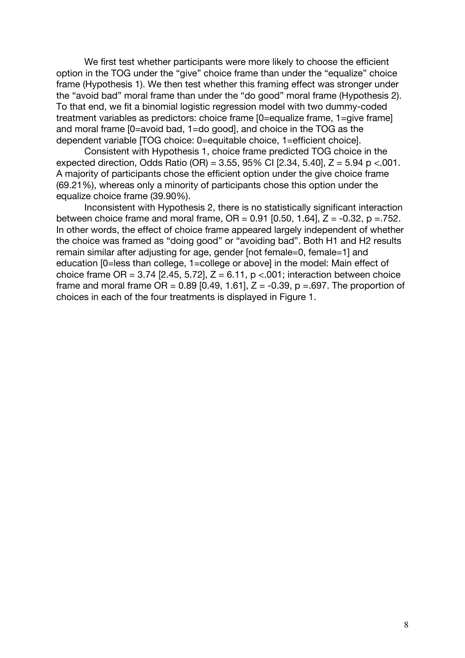We first test whether participants were more likely to choose the efficient option in the TOG under the "give" choice frame than under the "equalize" choice frame (Hypothesis 1). We then test whether this framing effect was stronger under the "avoid bad" moral frame than under the "do good" moral frame (Hypothesis 2). To that end, we fit a binomial logistic regression model with two dummy-coded treatment variables as predictors: choice frame [0=equalize frame, 1=give frame] and moral frame [0=avoid bad, 1=do good], and choice in the TOG as the dependent variable [TOG choice: 0=equitable choice, 1=efficient choice].

Consistent with Hypothesis 1, choice frame predicted TOG choice in the expected direction, Odds Ratio (OR) = 3.55, 95% CI  $[2.34, 5.40]$ , Z = 5.94 p <.001. A majority of participants chose the efficient option under the give choice frame (69.21%), whereas only a minority of participants chose this option under the equalize choice frame (39.90%).

Inconsistent with Hypothesis 2, there is no statistically significant interaction between choice frame and moral frame,  $OR = 0.91$  [0.50, 1.64],  $Z = -0.32$ ,  $p = 752$ . In other words, the effect of choice frame appeared largely independent of whether the choice was framed as "doing good" or "avoiding bad". Both H1 and H2 results remain similar after adjusting for age, gender [not female=0, female=1] and education [0=less than college, 1=college or above] in the model: Main effect of choice frame OR =  $3.74$  [2.45, 5.72], Z =  $6.11$ , p < 001; interaction between choice frame and moral frame  $OR = 0.89$  [0.49, 1.61],  $Z = -0.39$ ,  $p = .697$ . The proportion of choices in each of the four treatments is displayed in Figure 1.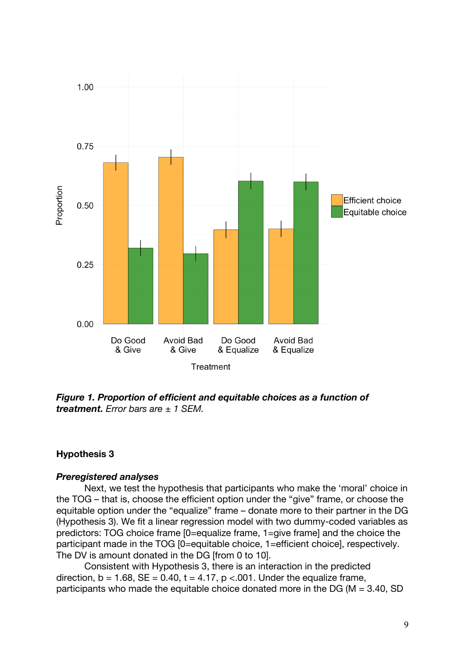

*Figure 1. Proportion of efficient and equitable choices as a function of treatment. Error bars are ± 1 SEM.*

# **Hypothesis 3**

# *Preregistered analyses*

Next, we test the hypothesis that participants who make the 'moral' choice in the TOG – that is, choose the efficient option under the "give" frame, or choose the equitable option under the "equalize" frame – donate more to their partner in the DG (Hypothesis 3). We fit a linear regression model with two dummy-coded variables as predictors: TOG choice frame [0=equalize frame, 1=give frame] and the choice the participant made in the TOG [0=equitable choice, 1=efficient choice], respectively. The DV is amount donated in the DG [from 0 to 10].

Consistent with Hypothesis 3, there is an interaction in the predicted direction,  $b = 1.68$ ,  $SE = 0.40$ ,  $t = 4.17$ ,  $p < 0.01$ . Under the equalize frame, participants who made the equitable choice donated more in the DG ( $M = 3.40$ , SD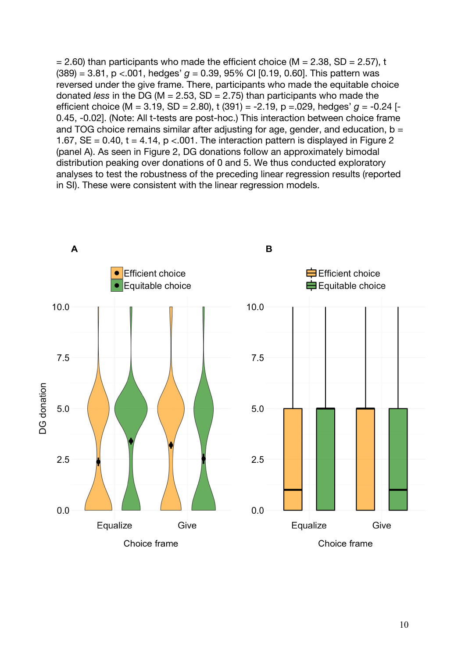$= 2.60$ ) than participants who made the efficient choice (M = 2.38, SD = 2.57), t  $(389) = 3.81$ , p <.001, hedges'  $q = 0.39$ , 95% CI [0.19, 0.60]. This pattern was reversed under the give frame. There, participants who made the equitable choice donated *less* in the DG (M = 2.53, SD = 2.75) than participants who made the efficient choice (M = 3.19, SD = 2.80), t (391) = -2.19, p =.029, hedges' *g* = -0.24 [- 0.45, -0.02]. (Note: All t-tests are post-hoc.) This interaction between choice frame and TOG choice remains similar after adjusting for age, gender, and education,  $b =$ 1.67,  $SE = 0.40$ ,  $t = 4.14$ ,  $p < 0.01$ . The interaction pattern is displayed in Figure 2 (panel A). As seen in Figure 2, DG donations follow an approximately bimodal distribution peaking over donations of 0 and 5. We thus conducted exploratory analyses to test the robustness of the preceding linear regression results (reported in SI). These were consistent with the linear regression models.

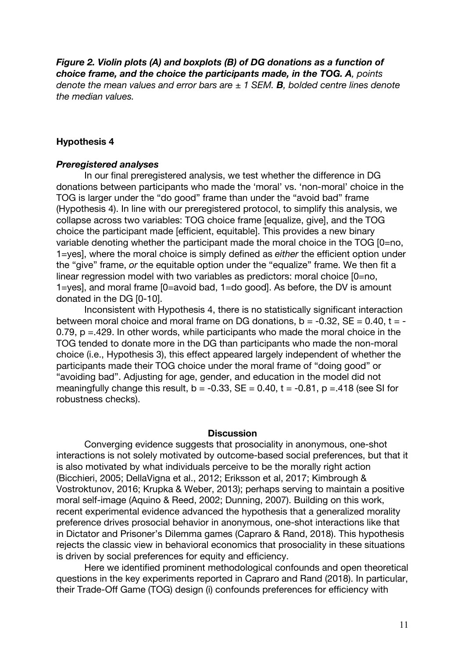*Figure 2. Violin plots (A) and boxplots (B) of DG donations as a function of choice frame, and the choice the participants made, in the TOG. A, points denote the mean values and error bars are ± 1 SEM. B, bolded centre lines denote the median values.*

### **Hypothesis 4**

#### *Preregistered analyses*

In our final preregistered analysis, we test whether the difference in DG donations between participants who made the 'moral' vs. 'non-moral' choice in the TOG is larger under the "do good" frame than under the "avoid bad" frame (Hypothesis 4). In line with our preregistered protocol, to simplify this analysis, we collapse across two variables: TOG choice frame [equalize, give], and the TOG choice the participant made [efficient, equitable]. This provides a new binary variable denoting whether the participant made the moral choice in the TOG [0=no, 1=yes], where the moral choice is simply defined as *either* the efficient option under the "give" frame, *or* the equitable option under the "equalize" frame. We then fit a linear regression model with two variables as predictors: moral choice [0=no, 1=yes], and moral frame [0=avoid bad, 1=do good]. As before, the DV is amount donated in the DG [0-10].

Inconsistent with Hypothesis 4, there is no statistically significant interaction between moral choice and moral frame on DG donations,  $b = -0.32$ ,  $SE = 0.40$ ,  $t = -1$ 0.79, p =.429. In other words, while participants who made the moral choice in the TOG tended to donate more in the DG than participants who made the non-moral choice (i.e., Hypothesis 3), this effect appeared largely independent of whether the participants made their TOG choice under the moral frame of "doing good" or "avoiding bad". Adjusting for age, gender, and education in the model did not meaningfully change this result,  $b = -0.33$ ,  $SE = 0.40$ ,  $t = -0.81$ ,  $p = 418$  (see SI for robustness checks).

### **Discussion**

Converging evidence suggests that prosociality in anonymous, one-shot interactions is not solely motivated by outcome-based social preferences, but that it is also motivated by what individuals perceive to be the morally right action (Bicchieri, 2005; DellaVigna et al., 2012; Eriksson et al, 2017; Kimbrough & Vostroktunov, 2016; Krupka & Weber, 2013); perhaps serving to maintain a positive moral self-image (Aquino & Reed, 2002; Dunning, 2007). Building on this work, recent experimental evidence advanced the hypothesis that a generalized morality preference drives prosocial behavior in anonymous, one-shot interactions like that in Dictator and Prisoner's Dilemma games (Capraro & Rand, 2018). This hypothesis rejects the classic view in behavioral economics that prosociality in these situations is driven by social preferences for equity and efficiency.

Here we identified prominent methodological confounds and open theoretical questions in the key experiments reported in Capraro and Rand (2018). In particular, their Trade-Off Game (TOG) design (i) confounds preferences for efficiency with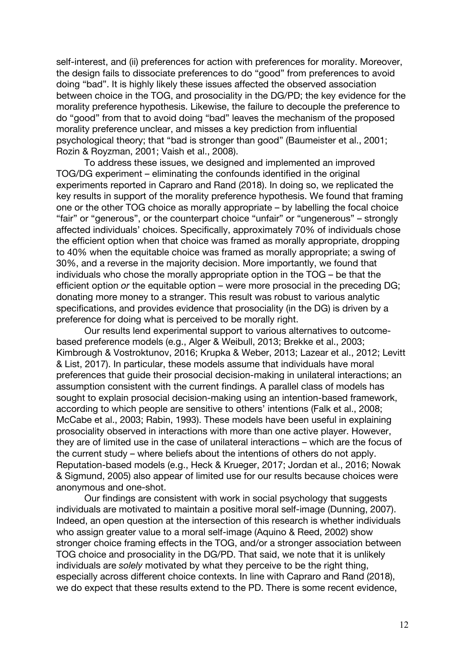self-interest, and (ii) preferences for action with preferences for morality. Moreover, the design fails to dissociate preferences to do "good" from preferences to avoid doing "bad". It is highly likely these issues affected the observed association between choice in the TOG, and prosociality in the DG/PD; the key evidence for the morality preference hypothesis. Likewise, the failure to decouple the preference to do "good" from that to avoid doing "bad" leaves the mechanism of the proposed morality preference unclear, and misses a key prediction from influential psychological theory; that "bad is stronger than good" (Baumeister et al., 2001; Rozin & Royzman, 2001; Vaish et al., 2008).

To address these issues, we designed and implemented an improved TOG/DG experiment – eliminating the confounds identified in the original experiments reported in Capraro and Rand (2018). In doing so, we replicated the key results in support of the morality preference hypothesis. We found that framing one or the other TOG choice as morally appropriate – by labelling the focal choice "fair" or "generous", or the counterpart choice "unfair" or "ungenerous" – strongly affected individuals' choices. Specifically, approximately 70% of individuals chose the efficient option when that choice was framed as morally appropriate, dropping to 40% when the equitable choice was framed as morally appropriate; a swing of 30%, and a reverse in the majority decision. More importantly, we found that individuals who chose the morally appropriate option in the TOG – be that the efficient option *or* the equitable option – were more prosocial in the preceding DG; donating more money to a stranger. This result was robust to various analytic specifications, and provides evidence that prosociality (in the DG) is driven by a preference for doing what is perceived to be morally right.

Our results lend experimental support to various alternatives to outcomebased preference models (e.g., Alger & Weibull, 2013; Brekke et al., 2003; Kimbrough & Vostroktunov, 2016; Krupka & Weber, 2013; Lazear et al., 2012; Levitt & List, 2017). In particular, these models assume that individuals have moral preferences that guide their prosocial decision-making in unilateral interactions; an assumption consistent with the current findings. A parallel class of models has sought to explain prosocial decision-making using an intention-based framework, according to which people are sensitive to others' intentions (Falk et al., 2008; McCabe et al., 2003; Rabin, 1993). These models have been useful in explaining prosociality observed in interactions with more than one active player. However, they are of limited use in the case of unilateral interactions – which are the focus of the current study – where beliefs about the intentions of others do not apply. Reputation-based models (e.g., Heck & Krueger, 2017; Jordan et al., 2016; Nowak & Sigmund, 2005) also appear of limited use for our results because choices were anonymous and one-shot.

Our findings are consistent with work in social psychology that suggests individuals are motivated to maintain a positive moral self-image (Dunning, 2007). Indeed, an open question at the intersection of this research is whether individuals who assign greater value to a moral self-image (Aquino & Reed, 2002) show stronger choice framing effects in the TOG, and/or a stronger association between TOG choice and prosociality in the DG/PD. That said, we note that it is unlikely individuals are *solely* motivated by what they perceive to be the right thing, especially across different choice contexts. In line with Capraro and Rand (2018), we do expect that these results extend to the PD. There is some recent evidence,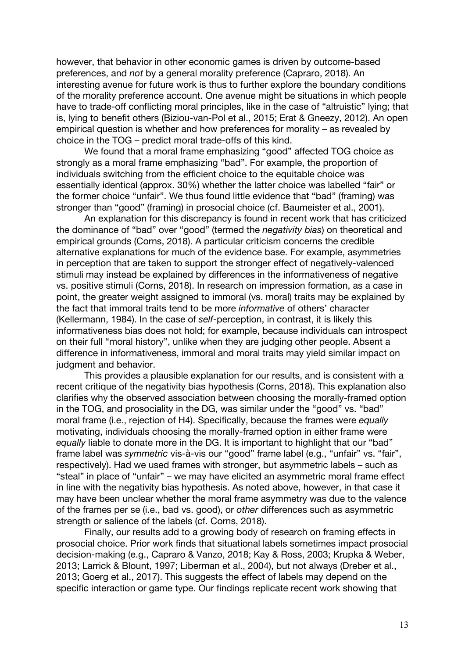however, that behavior in other economic games is driven by outcome-based preferences, and *not* by a general morality preference (Capraro, 2018). An interesting avenue for future work is thus to further explore the boundary conditions of the morality preference account. One avenue might be situations in which people have to trade-off conflicting moral principles, like in the case of "altruistic" lying; that is, lying to benefit others (Biziou-van-Pol et al., 2015; Erat & Gneezy, 2012). An open empirical question is whether and how preferences for morality – as revealed by choice in the TOG – predict moral trade-offs of this kind.

We found that a moral frame emphasizing "good" affected TOG choice as strongly as a moral frame emphasizing "bad". For example, the proportion of individuals switching from the efficient choice to the equitable choice was essentially identical (approx. 30%) whether the latter choice was labelled "fair" or the former choice "unfair". We thus found little evidence that "bad" (framing) was stronger than "good" (framing) in prosocial choice (cf. Baumeister et al., 2001).

An explanation for this discrepancy is found in recent work that has criticized the dominance of "bad" over "good" (termed the *negativity bias*) on theoretical and empirical grounds (Corns, 2018). A particular criticism concerns the credible alternative explanations for much of the evidence base. For example, asymmetries in perception that are taken to support the stronger effect of negatively-valenced stimuli may instead be explained by differences in the informativeness of negative vs. positive stimuli (Corns, 2018). In research on impression formation, as a case in point, the greater weight assigned to immoral (vs. moral) traits may be explained by the fact that immoral traits tend to be more *informative* of others' character (Kellermann, 1984). In the case of *self*-perception, in contrast, it is likely this informativeness bias does not hold; for example, because individuals can introspect on their full "moral history", unlike when they are judging other people. Absent a difference in informativeness, immoral and moral traits may yield similar impact on judgment and behavior.

This provides a plausible explanation for our results, and is consistent with a recent critique of the negativity bias hypothesis (Corns, 2018). This explanation also clarifies why the observed association between choosing the morally-framed option in the TOG, and prosociality in the DG, was similar under the "good" vs. "bad" moral frame (i.e., rejection of H4). Specifically, because the frames were *equally* motivating, individuals choosing the morally-framed option in either frame were *equally* liable to donate more in the DG. It is important to highlight that our "bad" frame label was *symmetric* vis-à-vis our "good" frame label (e.g., "unfair" vs. "fair", respectively). Had we used frames with stronger, but asymmetric labels – such as "steal" in place of "unfair" – we may have elicited an asymmetric moral frame effect in line with the negativity bias hypothesis. As noted above, however, in that case it may have been unclear whether the moral frame asymmetry was due to the valence of the frames per se (i.e., bad vs. good), or *other* differences such as asymmetric strength or salience of the labels (cf. Corns, 2018).

Finally, our results add to a growing body of research on framing effects in prosocial choice. Prior work finds that situational labels sometimes impact prosocial decision-making (e.g., Capraro & Vanzo, 2018; Kay & Ross, 2003; Krupka & Weber, 2013; Larrick & Blount, 1997; Liberman et al., 2004), but not always (Dreber et al., 2013; Goerg et al., 2017). This suggests the effect of labels may depend on the specific interaction or game type. Our findings replicate recent work showing that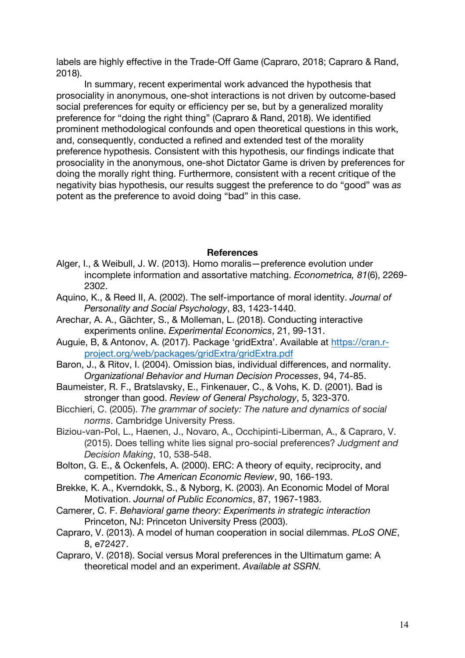labels are highly effective in the Trade-Off Game (Capraro, 2018; Capraro & Rand, 2018).

In summary, recent experimental work advanced the hypothesis that prosociality in anonymous, one-shot interactions is not driven by outcome-based social preferences for equity or efficiency per se, but by a generalized morality preference for "doing the right thing" (Capraro & Rand, 2018). We identified prominent methodological confounds and open theoretical questions in this work, and, consequently, conducted a refined and extended test of the morality preference hypothesis. Consistent with this hypothesis, our findings indicate that prosociality in the anonymous, one-shot Dictator Game is driven by preferences for doing the morally right thing. Furthermore, consistent with a recent critique of the negativity bias hypothesis, our results suggest the preference to do "good" was *as* potent as the preference to avoid doing "bad" in this case.

### **References**

- Alger, I., & Weibull, J. W. (2013). Homo moralis—preference evolution under incomplete information and assortative matching. *Econometrica, 81*(6), 2269- 2302.
- Aquino, K., & Reed II, A. (2002). The self-importance of moral identity. *Journal of Personality and Social Psychology*, 83, 1423-1440.
- Arechar, A. A., Gächter, S., & Molleman, L. (2018). Conducting interactive experiments online. *Experimental Economics*, 21, 99-131.
- Auguie, B, & Antonov, A. (2017). Package 'gridExtra'. Available at https://cran.rproject.org/web/packages/gridExtra/gridExtra.pdf
- Baron, J., & Ritov, I. (2004). Omission bias, individual differences, and normality. *Organizational Behavior and Human Decision Processes*, 94, 74-85.
- Baumeister, R. F., Bratslavsky, E., Finkenauer, C., & Vohs, K. D. (2001). Bad is stronger than good. *Review of General Psychology*, 5, 323-370.
- Bicchieri, C. (2005). *The grammar of society: The nature and dynamics of social norms*. Cambridge University Press.
- Biziou-van-Pol, L., Haenen, J., Novaro, A., Occhipinti-Liberman, A., & Capraro, V. (2015). Does telling white lies signal pro-social preferences? *Judgment and Decision Making*, 10, 538-548.
- Bolton, G. E., & Ockenfels, A. (2000). ERC: A theory of equity, reciprocity, and competition. *The American Economic Review*, 90, 166-193.
- Brekke, K. A., Kverndokk, S., & Nyborg, K. (2003). An Economic Model of Moral Motivation. *Journal of Public Economics*, 87, 1967-1983.
- Camerer, C. F. *Behavioral game theory: Experiments in strategic interaction*  Princeton, NJ: Princeton University Press (2003).
- Capraro, V. (2013). A model of human cooperation in social dilemmas. *PLoS ONE*, 8, e72427.
- Capraro, V. (2018). Social versus Moral preferences in the Ultimatum game: A theoretical model and an experiment. *Available at SSRN.*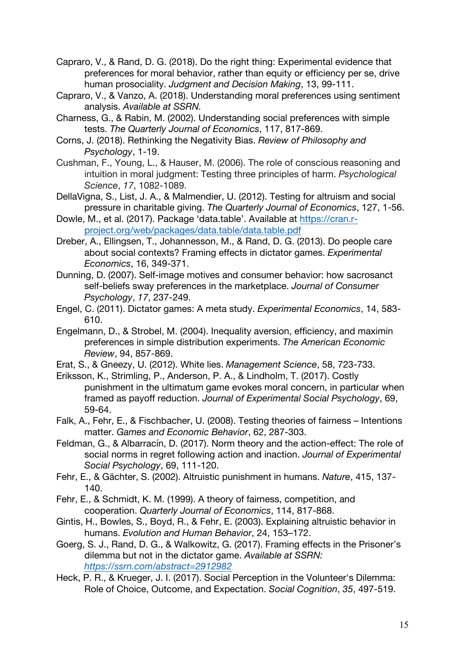- Capraro, V., & Rand, D. G. (2018). Do the right thing: Experimental evidence that preferences for moral behavior, rather than equity or efficiency per se, drive human prosociality. *Judgment and Decision Making*, 13, 99-111.
- Capraro, V., & Vanzo, A. (2018). Understanding moral preferences using sentiment analysis. *Available at SSRN.*
- Charness, G., & Rabin, M. (2002). Understanding social preferences with simple tests. *The Quarterly Journal of Economics*, 117, 817-869.
- Corns, J. (2018). Rethinking the Negativity Bias. *Review of Philosophy and Psychology*, 1-19.
- Cushman, F., Young, L., & Hauser, M. (2006). The role of conscious reasoning and intuition in moral judgment: Testing three principles of harm. *Psychological Science*, *17*, 1082-1089.
- DellaVigna, S., List, J. A., & Malmendier, U. (2012). Testing for altruism and social pressure in charitable giving. *The Quarterly Journal of Economics*, 127, 1-56.
- Dowle, M., et al. (2017). Package 'data.table'. Available at https://cran.rproject.org/web/packages/data.table/data.table.pdf
- Dreber, A., Ellingsen, T., Johannesson, M., & Rand, D. G. (2013). Do people care about social contexts? Framing effects in dictator games. *Experimental Economics*, 16, 349-371.
- Dunning, D. (2007). Self‐image motives and consumer behavior: how sacrosanct self‐beliefs sway preferences in the marketplace. *Journal of Consumer Psychology*, *17*, 237-249.
- Engel, C. (2011). Dictator games: A meta study. *Experimental Economics*, 14, 583- 610.
- Engelmann, D., & Strobel, M. (2004). Inequality aversion, efficiency, and maximin preferences in simple distribution experiments. *The American Economic Review*, 94, 857-869.
- Erat, S., & Gneezy, U. (2012). White lies. *Management Science*, 58, 723-733.
- Eriksson, K., Strimling, P., Anderson, P. A., & Lindholm, T. (2017). Costly punishment in the ultimatum game evokes moral concern, in particular when framed as payoff reduction. *Journal of Experimental Social Psychology*, 69, 59-64.
- Falk, A., Fehr, E., & Fischbacher, U. (2008). Testing theories of fairness Intentions matter. *Games and Economic Behavior*, 62, 287-303.
- Feldman, G., & Albarracín, D. (2017). Norm theory and the action-effect: The role of social norms in regret following action and inaction. *Journal of Experimental Social Psychology*, 69, 111-120.
- Fehr, E., & Gächter, S. (2002). Altruistic punishment in humans. *Nature*, 415, 137- 140.
- Fehr, E., & Schmidt, K. M. (1999). A theory of fairness, competition, and cooperation. *Quarterly Journal of Economics*, 114, 817-868.
- Gintis, H., Bowles, S., Boyd, R., & Fehr, E. (2003). Explaining altruistic behavior in humans. *Evolution and Human Behavior*, 24, 153–172.
- Goerg, S. J., Rand, D. G., & Walkowitz, G. (2017). Framing effects in the Prisoner's dilemma but not in the dictator game. *Available at SSRN: https://ssrn.com/abstract=2912982*
- Heck, P. R., & Krueger, J. I. (2017). Social Perception in the Volunteer's Dilemma: Role of Choice, Outcome, and Expectation. *Social Cognition*, *35*, 497-519.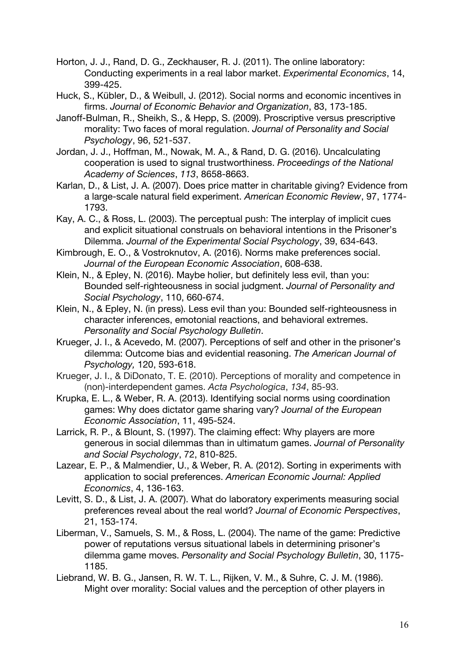- Horton, J. J., Rand, D. G., Zeckhauser, R. J. (2011). The online laboratory: Conducting experiments in a real labor market. *Experimental Economics*, 14, 399-425.
- Huck, S., Kübler, D., & Weibull, J. (2012). Social norms and economic incentives in firms. *Journal of Economic Behavior and Organization*, 83, 173-185.
- Janoff-Bulman, R., Sheikh, S., & Hepp, S. (2009). Proscriptive versus prescriptive morality: Two faces of moral regulation. *Journal of Personality and Social Psychology*, 96, 521-537.
- Jordan, J. J., Hoffman, M., Nowak, M. A., & Rand, D. G. (2016). Uncalculating cooperation is used to signal trustworthiness. *Proceedings of the National Academy of Sciences*, *113*, 8658-8663.
- Karlan, D., & List, J. A. (2007). Does price matter in charitable giving? Evidence from a large-scale natural field experiment. *American Economic Review*, 97, 1774- 1793.
- Kay, A. C., & Ross, L. (2003). The perceptual push: The interplay of implicit cues and explicit situational construals on behavioral intentions in the Prisoner's Dilemma. *Journal of the Experimental Social Psychology*, 39, 634-643.
- Kimbrough, E. O., & Vostroknutov, A. (2016). Norms make preferences social. *Journal of the European Economic Association*, 608-638.
- Klein, N., & Epley, N. (2016). Maybe holier, but definitely less evil, than you: Bounded self-righteousness in social judgment. *Journal of Personality and Social Psychology*, 110, 660-674.
- Klein, N., & Epley, N. (in press). Less evil than you: Bounded self-righteousness in character inferences, emotonial reactions, and behavioral extremes. *Personality and Social Psychology Bulletin*.
- Krueger, J. I., & Acevedo, M. (2007). Perceptions of self and other in the prisoner's dilemma: Outcome bias and evidential reasoning. *The American Journal of Psychology,* 120, 593-618.
- Krueger, J. I., & DiDonato, T. E. (2010). Perceptions of morality and competence in (non)-interdependent games. *Acta Psychologica*, *134*, 85-93.
- Krupka, E. L., & Weber, R. A. (2013). Identifying social norms using coordination games: Why does dictator game sharing vary? *Journal of the European Economic Association*, 11, 495-524.
- Larrick, R. P., & Blount, S. (1997). The claiming effect: Why players are more generous in social dilemmas than in ultimatum games. *Journal of Personality and Social Psychology*, 72, 810-825.
- Lazear, E. P., & Malmendier, U., & Weber, R. A. (2012). Sorting in experiments with application to social preferences. *American Economic Journal: Applied Economics*, 4, 136-163.
- Levitt, S. D., & List, J. A. (2007). What do laboratory experiments measuring social preferences reveal about the real world? *Journal of Economic Perspectives*, 21, 153-174.
- Liberman, V., Samuels, S. M., & Ross, L. (2004). The name of the game: Predictive power of reputations versus situational labels in determining prisoner's dilemma game moves. *Personality and Social Psychology Bulletin*, 30, 1175- 1185.
- Liebrand, W. B. G., Jansen, R. W. T. L., Rijken, V. M., & Suhre, C. J. M. (1986). Might over morality: Social values and the perception of other players in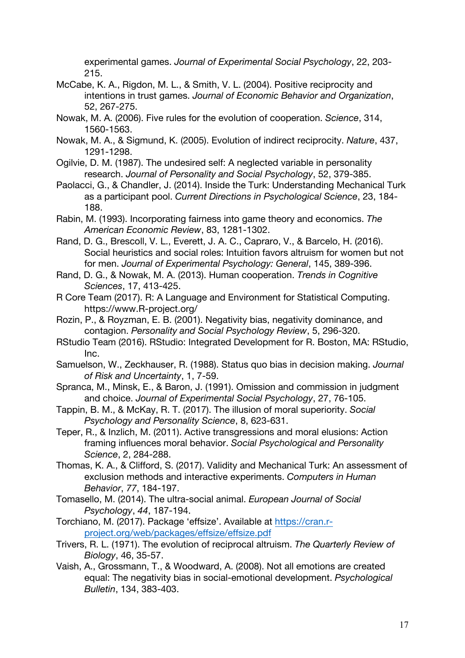experimental games. *Journal of Experimental Social Psychology*, 22, 203- 215.

- McCabe, K. A., Rigdon, M. L., & Smith, V. L. (2004). Positive reciprocity and intentions in trust games. *Journal of Economic Behavior and Organization*, 52, 267-275.
- Nowak, M. A. (2006). Five rules for the evolution of cooperation. *Science*, 314, 1560-1563.
- Nowak, M. A., & Sigmund, K. (2005). Evolution of indirect reciprocity. *Nature*, 437, 1291-1298.
- Ogilvie, D. M. (1987). The undesired self: A neglected variable in personality research. *Journal of Personality and Social Psychology*, 52, 379-385.
- Paolacci, G., & Chandler, J. (2014). Inside the Turk: Understanding Mechanical Turk as a participant pool. *Current Directions in Psychological Science*, 23, 184- 188.
- Rabin, M. (1993). Incorporating fairness into game theory and economics. *The American Economic Review*, 83, 1281-1302.
- Rand, D. G., Brescoll, V. L., Everett, J. A. C., Capraro, V., & Barcelo, H. (2016). Social heuristics and social roles: Intuition favors altruism for women but not for men. *Journal of Experimental Psychology: General*, 145, 389-396.
- Rand, D. G., & Nowak, M. A. (2013). Human cooperation. *Trends in Cognitive Sciences*, 17, 413-425.
- R Core Team (2017). R: A Language and Environment for Statistical Computing. https://www.R-project.org/
- Rozin, P., & Royzman, E. B. (2001). Negativity bias, negativity dominance, and contagion. *Personality and Social Psychology Review*, 5, 296-320.
- RStudio Team (2016). RStudio: Integrated Development for R. Boston, MA: RStudio, Inc.
- Samuelson, W., Zeckhauser, R. (1988). Status quo bias in decision making. *Journal of Risk and Uncertainty*, 1, 7-59.
- Spranca, M., Minsk, E., & Baron, J. (1991). Omission and commission in judgment and choice. *Journal of Experimental Social Psychology*, 27, 76-105.
- Tappin, B. M., & McKay, R. T. (2017). The illusion of moral superiority. *Social Psychology and Personality Science*, 8, 623-631.
- Teper, R., & Inzlich, M. (2011). Active transgressions and moral elusions: Action framing influences moral behavior. *Social Psychological and Personality Science*, 2, 284-288.
- Thomas, K. A., & Clifford, S. (2017). Validity and Mechanical Turk: An assessment of exclusion methods and interactive experiments. *Computers in Human Behavior*, *77*, 184-197.
- Tomasello, M. (2014). The ultra‐social animal. *European Journal of Social Psychology*, *44*, 187-194.
- Torchiano, M. (2017). Package 'effsize'. Available at https://cran.rproject.org/web/packages/effsize/effsize.pdf
- Trivers, R. L. (1971). The evolution of reciprocal altruism. *The Quarterly Review of Biology*, 46, 35-57.
- Vaish, A., Grossmann, T., & Woodward, A. (2008). Not all emotions are created equal: The negativity bias in social-emotional development. *Psychological Bulletin*, 134, 383-403.